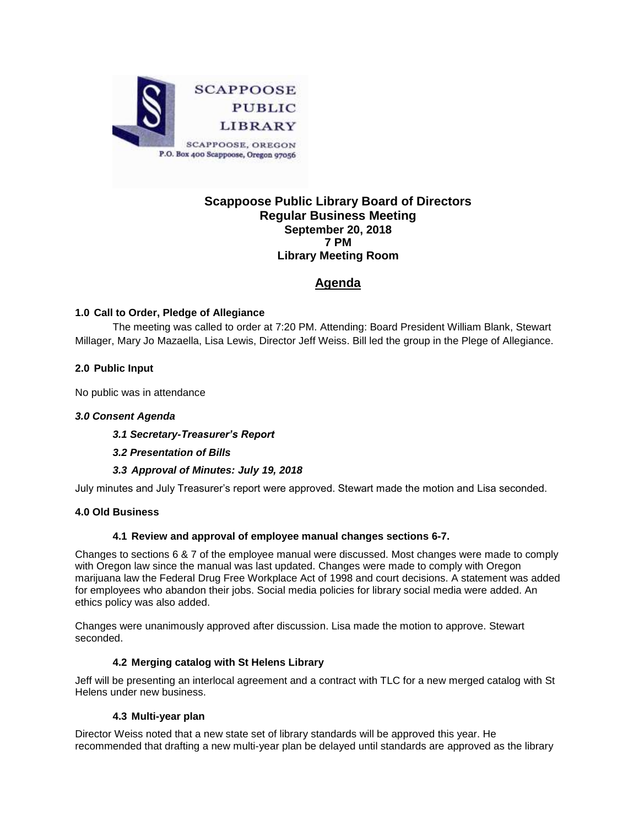

# **Scappoose Public Library Board of Directors Regular Business Meeting September 20, 2018 7 PM Library Meeting Room**

# **Agenda**

## **1.0 Call to Order, Pledge of Allegiance**

The meeting was called to order at 7:20 PM. Attending: Board President William Blank, Stewart Millager, Mary Jo Mazaella, Lisa Lewis, Director Jeff Weiss. Bill led the group in the Plege of Allegiance.

### **2.0 Public Input**

No public was in attendance

### *3.0 Consent Agenda*

*3.1 Secretary-Treasurer's Report*

### *3.2 Presentation of Bills*

### *3.3 Approval of Minutes: July 19, 2018*

July minutes and July Treasurer's report were approved. Stewart made the motion and Lisa seconded.

### **4.0 Old Business**

#### **4.1 Review and approval of employee manual changes sections 6-7.**

Changes to sections 6 & 7 of the employee manual were discussed. Most changes were made to comply with Oregon law since the manual was last updated. Changes were made to comply with Oregon marijuana law the Federal Drug Free Workplace Act of 1998 and court decisions. A statement was added for employees who abandon their jobs. Social media policies for library social media were added. An ethics policy was also added.

Changes were unanimously approved after discussion. Lisa made the motion to approve. Stewart seconded.

#### **4.2 Merging catalog with St Helens Library**

Jeff will be presenting an interlocal agreement and a contract with TLC for a new merged catalog with St Helens under new business.

#### **4.3 Multi-year plan**

Director Weiss noted that a new state set of library standards will be approved this year. He recommended that drafting a new multi-year plan be delayed until standards are approved as the library